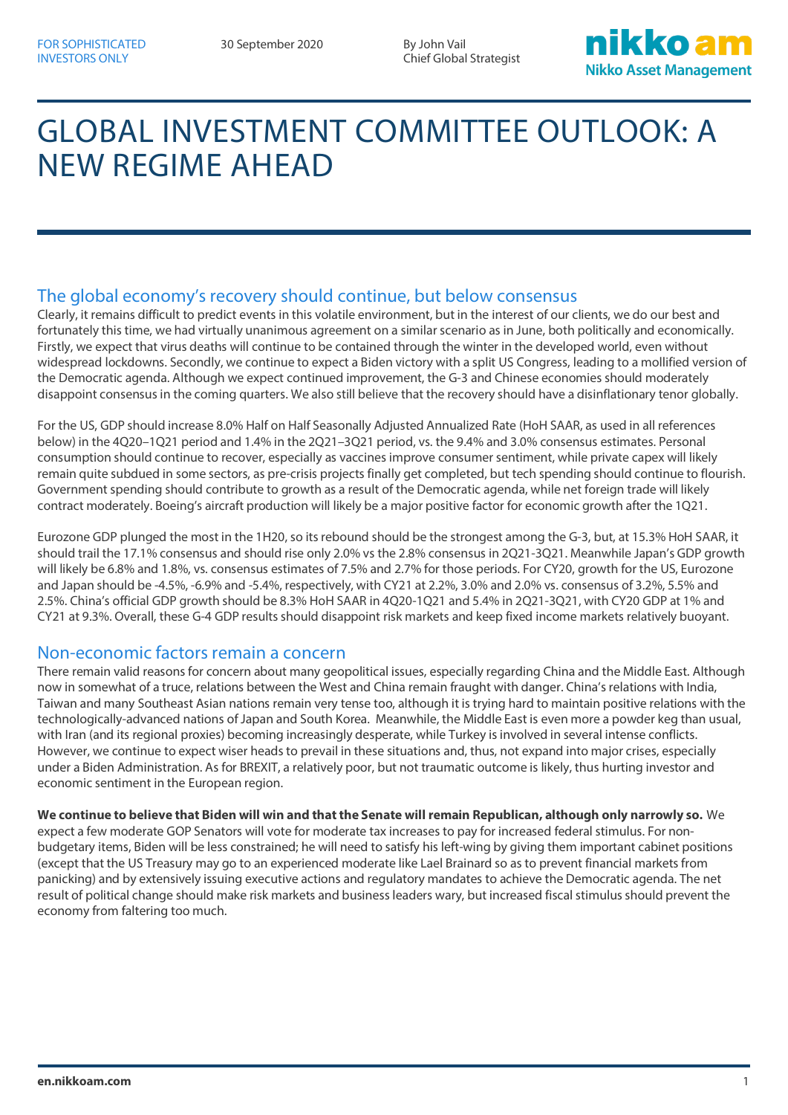Chief Global Strategist



# GLOBAL INVESTMENT COMMITTEE OUTLOOK: A NEW REGIME AHEAD

## The global economy's recovery should continue, but below consensus

Clearly, it remains difficult to predict events in this volatile environment, but in the interest of our clients, we do our best and fortunately this time, we had virtually unanimous agreement on a similar scenario as in June, both politically and economically. Firstly, we expect that virus deaths will continue to be contained through the winter in the developed world, even without widespread lockdowns. Secondly, we continue to expect a Biden victory with a split US Congress, leading to a mollified version of the Democratic agenda. Although we expect continued improvement, the G-3 and Chinese economies should moderately disappoint consensus in the coming quarters. We also still believe that the recovery should have a disinflationary tenor globally.

For the US, GDP should increase 8.0% Half on Half Seasonally Adjusted Annualized Rate (HoH SAAR, as used in all references below) in the 4Q20–1Q21 period and 1.4% in the 2Q21–3Q21 period, vs. the 9.4% and 3.0% consensus estimates. Personal consumption should continue to recover, especially as vaccines improve consumer sentiment, while private capex will likely remain quite subdued in some sectors, as pre-crisis projects finally get completed, but tech spending should continue to flourish. Government spending should contribute to growth as a result of the Democratic agenda, while net foreign trade will likely contract moderately. Boeing's aircraft production will likely be a major positive factor for economic growth after the 1Q21.

Eurozone GDP plunged the most in the 1H20, so its rebound should be the strongest among the G-3, but, at 15.3% HoH SAAR, it should trail the 17.1% consensus and should rise only 2.0% vs the 2.8% consensus in 2Q21-3Q21. Meanwhile Japan's GDP growth will likely be 6.8% and 1.8%, vs. consensus estimates of 7.5% and 2.7% for those periods. For CY20, growth for the US, Eurozone and Japan should be -4.5%, -6.9% and -5.4%, respectively, with CY21 at 2.2%, 3.0% and 2.0% vs. consensus of 3.2%, 5.5% and 2.5%. China's official GDP growth should be 8.3% HoH SAAR in 4Q20-1Q21 and 5.4% in 2Q21-3Q21, with CY20 GDP at 1% and CY21 at 9.3%. Overall, these G-4 GDP results should disappoint risk markets and keep fixed income markets relatively buoyant.

#### Non-economic factors remain a concern

There remain valid reasons for concern about many geopolitical issues, especially regarding China and the Middle East. Although now in somewhat of a truce, relations between the West and China remain fraught with danger. China's relations with India, Taiwan and many Southeast Asian nations remain very tense too, although it is trying hard to maintain positive relations with the technologically-advanced nations of Japan and South Korea. Meanwhile, the Middle East is even more a powder keg than usual, with Iran (and its regional proxies) becoming increasingly desperate, while Turkey is involved in several intense conflicts. However, we continue to expect wiser heads to prevail in these situations and, thus, not expand into major crises, especially under a Biden Administration. As for BREXIT, a relatively poor, but not traumatic outcome is likely, thus hurting investor and economic sentiment in the European region.

**We continue to believe that Biden will win and that the Senate will remain Republican, although only narrowly so.** We expect a few moderate GOP Senators will vote for moderate tax increases to pay for increased federal stimulus. For nonbudgetary items, Biden will be less constrained; he will need to satisfy his left-wing by giving them important cabinet positions (except that the US Treasury may go to an experienced moderate like Lael Brainard so as to prevent financial markets from panicking) and by extensively issuing executive actions and regulatory mandates to achieve the Democratic agenda. The net result of political change should make risk markets and business leaders wary, but increased fiscal stimulus should prevent the economy from faltering too much.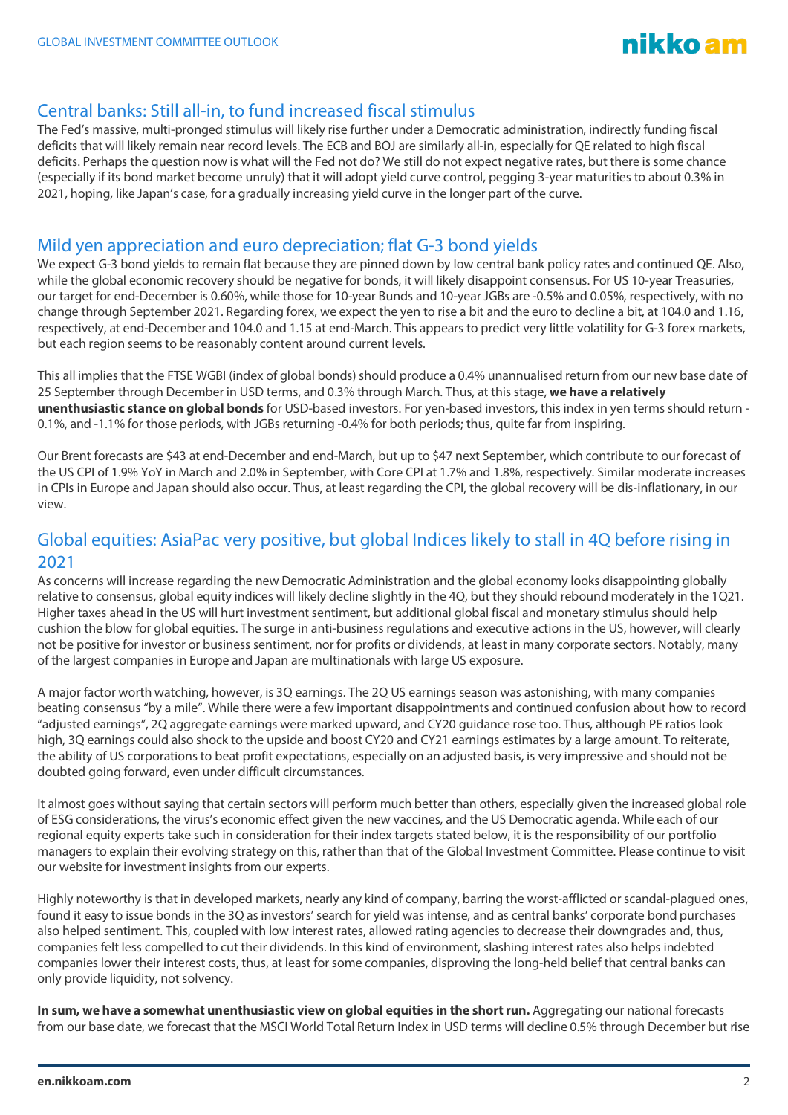

### Central banks: Still all-in, to fund increased fiscal stimulus

The Fed's massive, multi-pronged stimulus will likely rise further under a Democratic administration, indirectly funding fiscal deficits that will likely remain near record levels. The ECB and BOJ are similarly all-in, especially for QE related to high fiscal deficits. Perhaps the question now is what will the Fed not do? We still do not expect negative rates, but there is some chance (especially if its bond market become unruly) that it will adopt yield curve control, pegging 3-year maturities to about 0.3% in 2021, hoping, like Japan's case, for a gradually increasing yield curve in the longer part of the curve.

### Mild yen appreciation and euro depreciation; flat G-3 bond yields

We expect G-3 bond yields to remain flat because they are pinned down by low central bank policy rates and continued QE. Also, while the global economic recovery should be negative for bonds, it will likely disappoint consensus. For US 10-year Treasuries, our target for end-December is 0.60%, while those for 10-year Bunds and 10-year JGBs are -0.5% and 0.05%, respectively, with no change through September 2021. Regarding forex, we expect the yen to rise a bit and the euro to decline a bit, at 104.0 and 1.16, respectively, at end-December and 104.0 and 1.15 at end-March. This appears to predict very little volatility for G-3 forex markets, but each region seems to be reasonably content around current levels.

This all implies that the FTSE WGBI (index of global bonds) should produce a 0.4% unannualised return from our new base date of 25 September through December in USD terms, and 0.3% through March. Thus, at this stage, **we have a relatively unenthusiastic stance on global bonds** for USD-based investors. For yen-based investors, this index in yen terms should return - 0.1%, and -1.1% for those periods, with JGBs returning -0.4% for both periods; thus, quite far from inspiring.

Our Brent forecasts are \$43 at end-December and end-March, but up to \$47 next September, which contribute to our forecast of the US CPI of 1.9% YoY in March and 2.0% in September, with Core CPI at 1.7% and 1.8%, respectively. Similar moderate increases in CPIs in Europe and Japan should also occur. Thus, at least regarding the CPI, the global recovery will be dis-inflationary, in our view.

## Global equities: AsiaPac very positive, but global Indices likely to stall in 4Q before rising in 2021

As concerns will increase regarding the new Democratic Administration and the global economy looks disappointing globally relative to consensus, global equity indices will likely decline slightly in the 4Q, but they should rebound moderately in the 1Q21. Higher taxes ahead in the US will hurt investment sentiment, but additional global fiscal and monetary stimulus should help cushion the blow for global equities. The surge in anti-business regulations and executive actions in the US, however, will clearly not be positive for investor or business sentiment, nor for profits or dividends, at least in many corporate sectors. Notably, many of the largest companies in Europe and Japan are multinationals with large US exposure.

A major factor worth watching, however, is 3Q earnings. The 2Q US earnings season was astonishing, with many companies beating consensus "by a mile". While there were a few important disappointments and continued confusion about how to record "adjusted earnings", 2Q aggregate earnings were marked upward, and CY20 guidance rose too. Thus, although PE ratios look high, 3Q earnings could also shock to the upside and boost CY20 and CY21 earnings estimates by a large amount. To reiterate, the ability of US corporations to beat profit expectations, especially on an adjusted basis, is very impressive and should not be doubted going forward, even under difficult circumstances.

It almost goes without saying that certain sectors will perform much better than others, especially given the increased global role of ESG considerations, the virus's economic effect given the new vaccines, and the US Democratic agenda. While each of our regional equity experts take such in consideration for their index targets stated below, it is the responsibility of our portfolio managers to explain their evolving strategy on this, rather than that of the Global Investment Committee. Please continue to visit our website for investment insights from our experts.

Highly noteworthy is that in developed markets, nearly any kind of company, barring the worst-afflicted or scandal-plagued ones, found it easy to issue bonds in the 3Q as investors' search for yield was intense, and as central banks' corporate bond purchases also helped sentiment. This, coupled with low interest rates, allowed rating agencies to decrease their downgrades and, thus, companies felt less compelled to cut their dividends. In this kind of environment, slashing interest rates also helps indebted companies lower their interest costs, thus, at least for some companies, disproving the long-held belief that central banks can only provide liquidity, not solvency.

In sum, we have a somewhat unenthusiastic view on global equities in the short run. Aggregating our national forecasts from our base date, we forecast that the MSCI World Total Return Index in USD terms will decline 0.5% through December but rise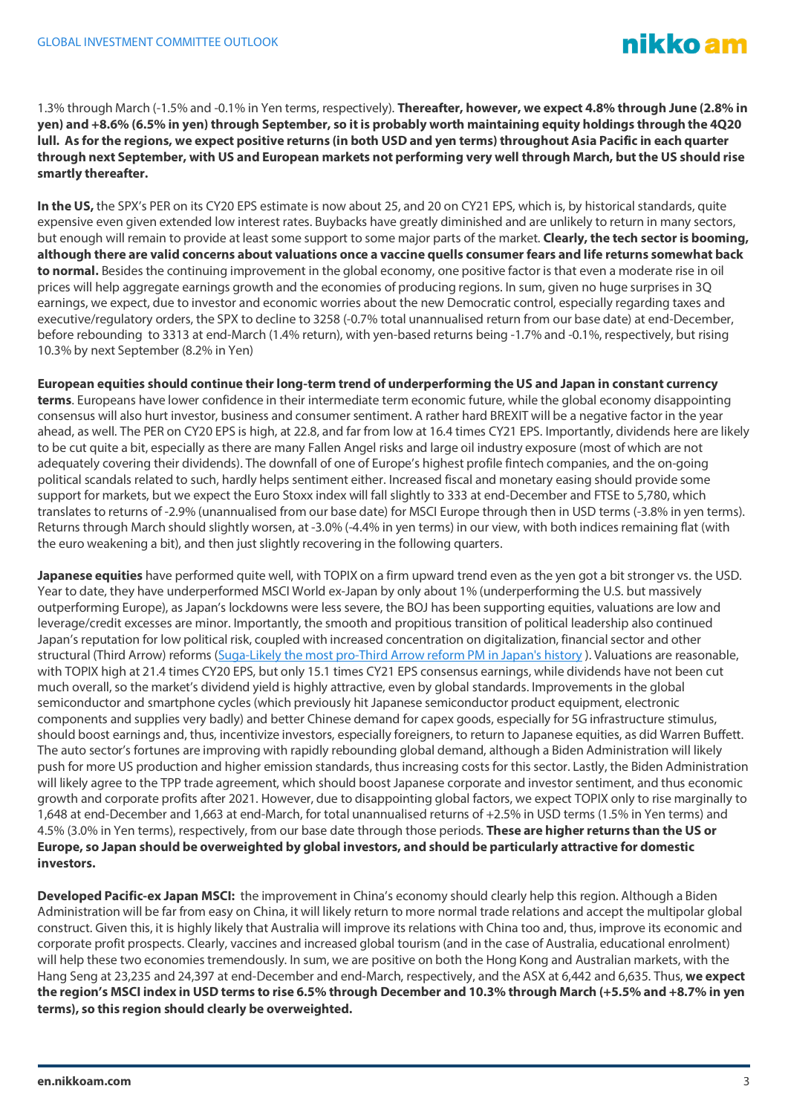1.3% through March (-1.5% and -0.1% in Yen terms, respectively). **Thereafter, however, we expect 4.8% through June (2.8% in yen) and +8.6% (6.5% in yen) through September, so it is probably worth maintaining equity holdings through the 4Q20 lull. As for the regions, we expect positive returns (in both USD and yen terms) throughout Asia Pacific in each quarter through next September, with US and European markets not performing very well through March, but the US should rise smartly thereafter.**

**In the US,** the SPX's PER on its CY20 EPS estimate is now about 25, and 20 on CY21 EPS, which is, by historical standards, quite expensive even given extended low interest rates. Buybacks have greatly diminished and are unlikely to return in many sectors, but enough will remain to provide at least some support to some major parts of the market. **Clearly, the tech sector is booming, although there are valid concerns about valuations once a vaccine quells consumer fears and life returns somewhat back to normal.** Besides the continuing improvement in the global economy, one positive factor is that even a moderate rise in oil prices will help aggregate earnings growth and the economies of producing regions. In sum, given no huge surprises in 3Q earnings, we expect, due to investor and economic worries about the new Democratic control, especially regarding taxes and executive/regulatory orders, the SPX to decline to 3258 (-0.7% total unannualised return from our base date) at end-December, before rebounding to 3313 at end-March (1.4% return), with yen-based returns being -1.7% and -0.1%, respectively, but rising 10.3% by next September (8.2% in Yen)

**European equities should continue their long-term trend of underperforming the US and Japan in constant currency terms**. Europeans have lower confidence in their intermediate term economic future, while the global economy disappointing consensus will also hurt investor, business and consumer sentiment. A rather hard BREXIT will be a negative factor in the year ahead, as well. The PER on CY20 EPS is high, at 22.8, and far from low at 16.4 times CY21 EPS. Importantly, dividends here are likely to be cut quite a bit, especially as there are many Fallen Angel risks and large oil industry exposure (most of which are not adequately covering their dividends). The downfall of one of Europe's highest profile fintech companies, and the on-going political scandals related to such, hardly helps sentiment either. Increased fiscal and monetary easing should provide some support for markets, but we expect the Euro Stoxx index will fall slightly to 333 at end-December and FTSE to 5,780, which translates to returns of -2.9% (unannualised from our base date) for MSCI Europe through then in USD terms (-3.8% in yen terms). Returns through March should slightly worsen, at -3.0% (-4.4% in yen terms) in our view, with both indices remaining flat (with the euro weakening a bit), and then just slightly recovering in the following quarters.

**Japanese equities** have performed quite well, with TOPIX on a firm upward trend even as the yen got a bit stronger vs. the USD. Year to date, they have underperformed MSCI World ex-Japan by only about 1% (underperforming the U.S. but massively outperforming Europe), as Japan's lockdowns were less severe, the BOJ has been supporting equities, valuations are low and leverage/credit excesses are minor. Importantly, the smooth and propitious transition of political leadership also continued Japan's reputation for low political risk, coupled with increased concentration on digitalization, financial sector and other structural (Third Arrow) reforms [\(Suga-Likely the most pro-Third Arrow reform PM in Japan's history](/articles/2020/suga-likely-the-most-pro) ). Valuations are reasonable, with TOPIX high at 21.4 times CY20 EPS, but only 15.1 times CY21 EPS consensus earnings, while dividends have not been cut much overall, so the market's dividend yield is highly attractive, even by global standards. Improvements in the global semiconductor and smartphone cycles (which previously hit Japanese semiconductor product equipment, electronic components and supplies very badly) and better Chinese demand for capex goods, especially for 5G infrastructure stimulus, should boost earnings and, thus, incentivize investors, especially foreigners, to return to Japanese equities, as did Warren Buffett. The auto sector's fortunes are improving with rapidly rebounding global demand, although a Biden Administration will likely push for more US production and higher emission standards, thus increasing costs for this sector. Lastly, the Biden Administration will likely agree to the TPP trade agreement, which should boost Japanese corporate and investor sentiment, and thus economic growth and corporate profits after 2021. However, due to disappointing global factors, we expect TOPIX only to rise marginally to 1,648 at end-December and 1,663 at end-March, for total unannualised returns of +2.5% in USD terms (1.5% in Yen terms) and 4.5% (3.0% in Yen terms), respectively, from our base date through those periods. **These are higher returns than the US or Europe, so Japan should be overweighted by global investors, and should be particularly attractive for domestic investors.**

**Developed Pacific-ex Japan MSCI:** the improvement in China's economy should clearly help this region. Although a Biden Administration will be far from easy on China, it will likely return to more normal trade relations and accept the multipolar global construct. Given this, it is highly likely that Australia will improve its relations with China too and, thus, improve its economic and corporate profit prospects. Clearly, vaccines and increased global tourism (and in the case of Australia, educational enrolment) will help these two economies tremendously. In sum, we are positive on both the Hong Kong and Australian markets, with the Hang Seng at 23,235 and 24,397 at end-December and end-March, respectively, and the ASX at 6,442 and 6,635. Thus, **we expect the region's MSCI index in USD terms to rise 6.5% through December and 10.3% through March (+5.5% and +8.7% in yen terms), so this region should clearly be overweighted.**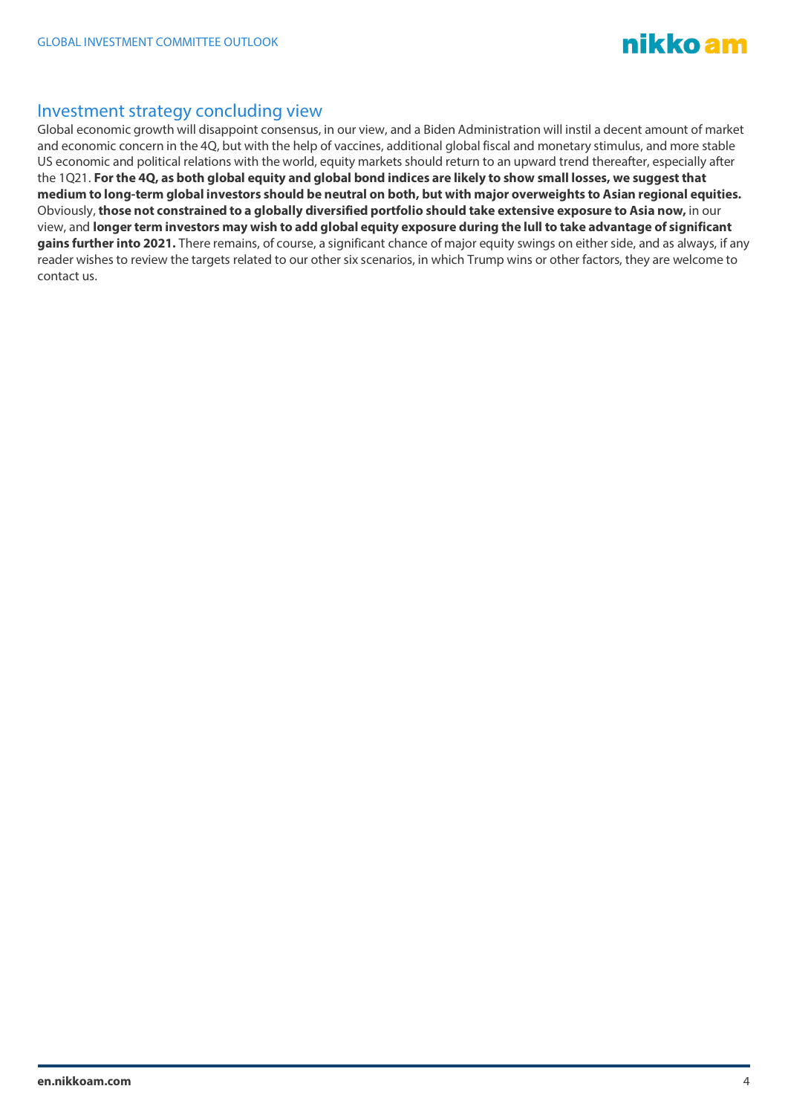

#### Investment strategy concluding view

Global economic growth will disappoint consensus, in our view, and a Biden Administration will instil a decent amount of market and economic concern in the 4Q, but with the help of vaccines, additional global fiscal and monetary stimulus, and more stable US economic and political relations with the world, equity markets should return to an upward trend thereafter, especially after the 1Q21. **For the 4Q, as both global equity and global bond indices are likely to show small losses, we suggest that medium to long-term global investors should be neutral on both, but with major overweights to Asian regional equities.** Obviously, **those not constrained to a globally diversified portfolio should take extensive exposure to Asia now,** in our view, and **longer term investors may wish to add global equity exposure during the lull to take advantage of significant gains further into 2021.** There remains, of course, a significant chance of major equity swings on either side, and as always, if any reader wishes to review the targets related to our other six scenarios, in which Trump wins or other factors, they are welcome to contact us.